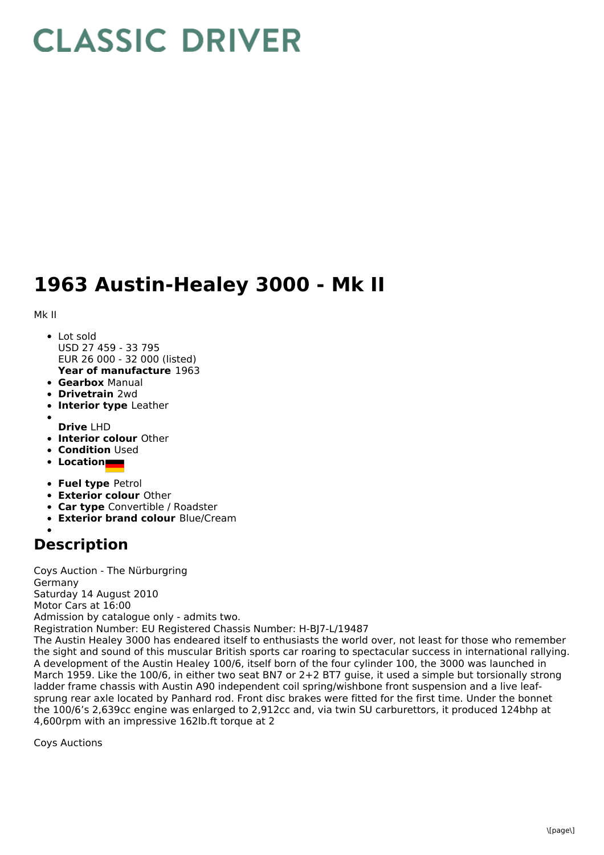## **CLASSIC DRIVER**

## **1963 Austin-Healey 3000 - Mk II**

Mk II

- **Year of manufacture** 1963 • Lot sold USD 27 459 - 33 795 EUR 26 000 - 32 000 (listed)
- **Gearbox** Manual
- **Drivetrain** 2wd
- **Interior type** Leather
- 
- **Drive** LHD
- **Interior colour** Other
- **Condition Used**
- **Location**
- **Fuel type** Petrol
- **Exterior colour** Other
- **Car type** Convertible / Roadster
- **Exterior brand colour** Blue/Cream
- **Description**

Coys Auction - The Nürburgring Germany Saturday 14 August 2010 Motor Cars at 16:00 Admission by catalogue only - admits two. Registration Number: EU Registered Chassis Number: H-BJ7-L/19487 The Austin Healey 3000 has endeared itself to enthusiasts the world over, not least for those who remember the sight and sound of this muscular British sports car roaring to spectacular success in international rallying. A development of the Austin Healey 100/6, itself born of the four cylinder 100, the 3000 was launched in March 1959. Like the 100/6, in either two seat BN7 or 2+2 BT7 guise, it used a simple but torsionally strong ladder frame chassis with Austin A90 independent coil spring/wishbone front suspension and a live leafsprung rear axle located by Panhard rod. Front disc brakes were fitted for the first time. Under the bonnet the 100/6's 2,639cc engine was enlarged to 2,912cc and, via twin SU carburettors, it produced 124bhp at 4,600rpm with an impressive 162lb.ft torque at 2

Coys Auctions